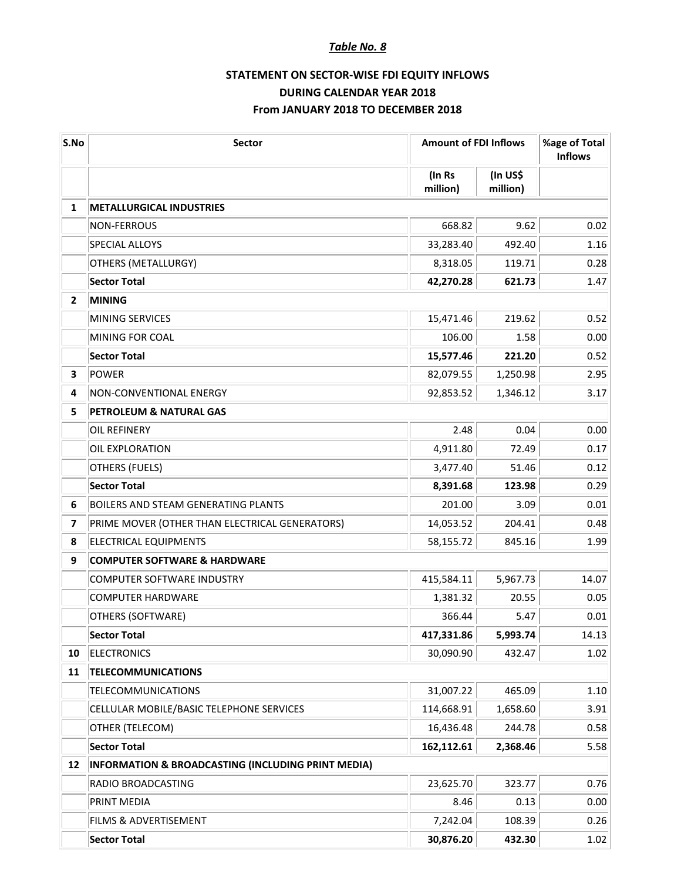## *Table No. 8*

## **STATEMENT ON SECTOR-WISE FDI EQUITY INFLOWS DURING CALENDAR YEAR 2018 From JANUARY 2018 TO DECEMBER 2018**

| S.No           | Sector                                             | <b>Amount of FDI Inflows</b> |                      | %age of Total<br><b>Inflows</b> |
|----------------|----------------------------------------------------|------------------------------|----------------------|---------------------------------|
|                |                                                    | (In Rs<br>million)           | (In US\$<br>million) |                                 |
| 1              | <b>METALLURGICAL INDUSTRIES</b>                    |                              |                      |                                 |
|                | <b>NON-FERROUS</b>                                 | 668.82                       | 9.62                 | 0.02                            |
|                | <b>SPECIAL ALLOYS</b>                              | 33,283.40                    | 492.40               | 1.16                            |
|                | OTHERS (METALLURGY)                                | 8,318.05                     | 119.71               | 0.28                            |
|                | <b>Sector Total</b>                                | 42,270.28                    | 621.73               | 1.47                            |
| $\overline{2}$ | <b>MINING</b>                                      |                              |                      |                                 |
|                | MINING SERVICES                                    | 15,471.46                    | 219.62               | 0.52                            |
|                | MINING FOR COAL                                    | 106.00                       | 1.58                 | 0.00                            |
|                | <b>Sector Total</b>                                | 15,577.46                    | 221.20               | 0.52                            |
| 3              | POWER                                              | 82,079.55                    | 1,250.98             | 2.95                            |
| 4              | <b>NON-CONVENTIONAL ENERGY</b>                     | 92,853.52                    | 1,346.12             | 3.17                            |
| 5              | <b>PETROLEUM &amp; NATURAL GAS</b>                 |                              |                      |                                 |
|                | <b>OIL REFINERY</b>                                | 2.48                         | 0.04                 | 0.00                            |
|                | OIL EXPLORATION                                    | 4,911.80                     | 72.49                | 0.17                            |
|                | OTHERS (FUELS)                                     | 3,477.40                     | 51.46                | 0.12                            |
|                | <b>Sector Total</b>                                | 8,391.68                     | 123.98               | 0.29                            |
| 6              | <b>BOILERS AND STEAM GENERATING PLANTS</b>         | 201.00                       | 3.09                 | 0.01                            |
| 7              | PRIME MOVER (OTHER THAN ELECTRICAL GENERATORS)     | 14,053.52                    | 204.41               | 0.48                            |
| 8              | <b>ELECTRICAL EQUIPMENTS</b>                       | 58,155.72                    | 845.16               | 1.99                            |
| 9              | <b>COMPUTER SOFTWARE &amp; HARDWARE</b>            |                              |                      |                                 |
|                | <b>COMPUTER SOFTWARE INDUSTRY</b>                  | 415,584.11                   | 5,967.73             | 14.07                           |
|                | <b>COMPUTER HARDWARE</b>                           | 1,381.32                     | 20.55                | 0.05                            |
|                | OTHERS (SOFTWARE)                                  | 366.44                       | 5.47                 | 0.01                            |
|                | <b>Sector Total</b>                                | 417,331.86                   | 5,993.74             | 14.13                           |
| 10             | <b>ELECTRONICS</b>                                 | 30,090.90                    | 432.47               | 1.02                            |
| 11             | <b>TELECOMMUNICATIONS</b>                          |                              |                      |                                 |
|                | <b>TELECOMMUNICATIONS</b>                          | 31,007.22                    | 465.09               | 1.10                            |
|                | CELLULAR MOBILE/BASIC TELEPHONE SERVICES           | 114,668.91                   | 1,658.60             | 3.91                            |
|                | OTHER (TELECOM)                                    | 16,436.48                    | 244.78               | 0.58                            |
|                | <b>Sector Total</b>                                | 162,112.61                   | 2,368.46             | 5.58                            |
| 12             | INFORMATION & BROADCASTING (INCLUDING PRINT MEDIA) |                              |                      |                                 |
|                | RADIO BROADCASTING                                 | 23,625.70                    | 323.77               | 0.76                            |
|                | PRINT MEDIA                                        | 8.46                         | 0.13                 | 0.00                            |
|                | FILMS & ADVERTISEMENT                              | 7,242.04                     | 108.39               | 0.26                            |
|                | <b>Sector Total</b>                                | 30,876.20                    | 432.30               | 1.02                            |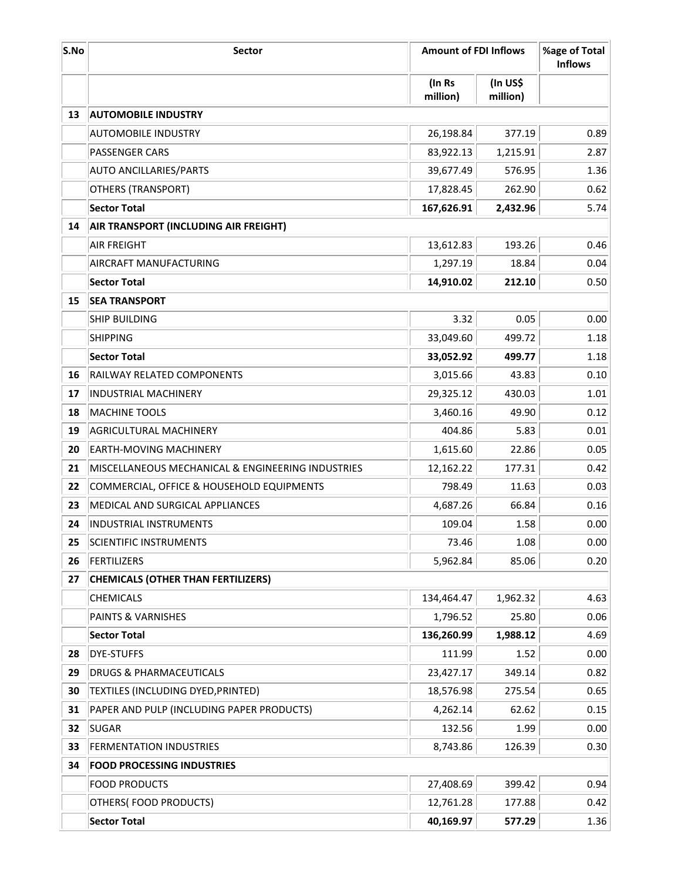| S.No | <b>Sector</b>                                     |                    | <b>Amount of FDI Inflows</b> |                   |
|------|---------------------------------------------------|--------------------|------------------------------|-------------------|
|      |                                                   | (In Rs<br>million) | (In US\$<br>million)         |                   |
| 13   | <b>AUTOMOBILE INDUSTRY</b>                        |                    |                              |                   |
|      | <b>AUTOMOBILE INDUSTRY</b>                        | 26,198.84          | 377.19                       | 0.89              |
|      | <b>PASSENGER CARS</b>                             | 83,922.13          | 1,215.91                     | 2.87              |
|      | <b>AUTO ANCILLARIES/PARTS</b>                     | 39,677.49          | 576.95                       | 1.36              |
|      | <b>OTHERS (TRANSPORT)</b>                         | 17,828.45          | 262.90                       | 0.62              |
|      | <b>Sector Total</b>                               | 167,626.91         | 2,432.96                     | 5.74              |
| 14   | AIR TRANSPORT (INCLUDING AIR FREIGHT)             |                    |                              |                   |
|      | <b>AIR FREIGHT</b>                                | 13,612.83          | 193.26                       | 0.46              |
|      | AIRCRAFT MANUFACTURING                            | 1,297.19           | 18.84                        | 0.04              |
|      | <b>Sector Total</b>                               | 14,910.02          | 212.10                       | 0.50              |
| 15   | <b>SEA TRANSPORT</b>                              |                    |                              |                   |
|      | <b>SHIP BUILDING</b>                              | 3.32               | 0.05                         | 0.00              |
|      | <b>SHIPPING</b>                                   | 33,049.60          | 499.72                       | 1.18              |
|      | <b>Sector Total</b>                               | 33,052.92          | 499.77                       | 1.18              |
| 16   | RAILWAY RELATED COMPONENTS                        | 3,015.66           | 43.83                        | 0.10              |
| 17   | <b>INDUSTRIAL MACHINERY</b>                       | 29,325.12          | 430.03                       | 1.01              |
| 18   | MACHINE TOOLS                                     | 3,460.16           | 49.90                        | 0.12              |
| 19   | <b>AGRICULTURAL MACHINERY</b>                     | 404.86             | 5.83                         | 0.01              |
| 20   | EARTH-MOVING MACHINERY                            | 1,615.60           | 22.86                        | 0.05              |
| 21   | MISCELLANEOUS MECHANICAL & ENGINEERING INDUSTRIES | 12,162.22          | 177.31                       | 0.42              |
| 22   | COMMERCIAL, OFFICE & HOUSEHOLD EQUIPMENTS         | 798.49             | 11.63                        | 0.03              |
| 23   | MEDICAL AND SURGICAL APPLIANCES                   | 4,687.26           | 66.84                        | 0.16              |
| 24   | <b>INDUSTRIAL INSTRUMENTS</b>                     | 109.04             | 1.58                         | 0.00              |
| 25   | SCIENTIFIC INSTRUMENTS                            | 73.46              | 1.08                         | 0.00 <sub>1</sub> |
| 26   | FERTILIZERS                                       | 5,962.84           | 85.06                        | 0.20              |
| 27   | <b>CHEMICALS (OTHER THAN FERTILIZERS)</b>         |                    |                              |                   |
|      | <b>CHEMICALS</b>                                  | 134,464.47         | 1,962.32                     | 4.63              |
|      | PAINTS & VARNISHES                                | 1,796.52           | 25.80                        | 0.06              |
|      | <b>Sector Total</b>                               | 136,260.99         | 1,988.12                     | 4.69              |
| 28   | <b>DYE-STUFFS</b>                                 | 111.99             | 1.52                         | 0.00              |
| 29   | <b>DRUGS &amp; PHARMACEUTICALS</b>                | 23,427.17          | 349.14                       | 0.82              |
| 30   | TEXTILES (INCLUDING DYED, PRINTED)                | 18,576.98          | 275.54                       | 0.65              |
| 31   | PAPER AND PULP (INCLUDING PAPER PRODUCTS)         | 4,262.14           | 62.62                        | 0.15              |
| 32   | <b>SUGAR</b>                                      | 132.56             | 1.99                         | 0.00              |
| 33   | <b>FERMENTATION INDUSTRIES</b>                    | 8,743.86           | 126.39                       | 0.30              |
| 34   | <b>FOOD PROCESSING INDUSTRIES</b>                 |                    |                              |                   |
|      | <b>FOOD PRODUCTS</b>                              | 27,408.69          | 399.42                       | 0.94              |
|      | OTHERS(FOOD PRODUCTS)                             | 12,761.28          | 177.88                       | 0.42              |
|      | <b>Sector Total</b>                               | 40,169.97          | 577.29                       | 1.36              |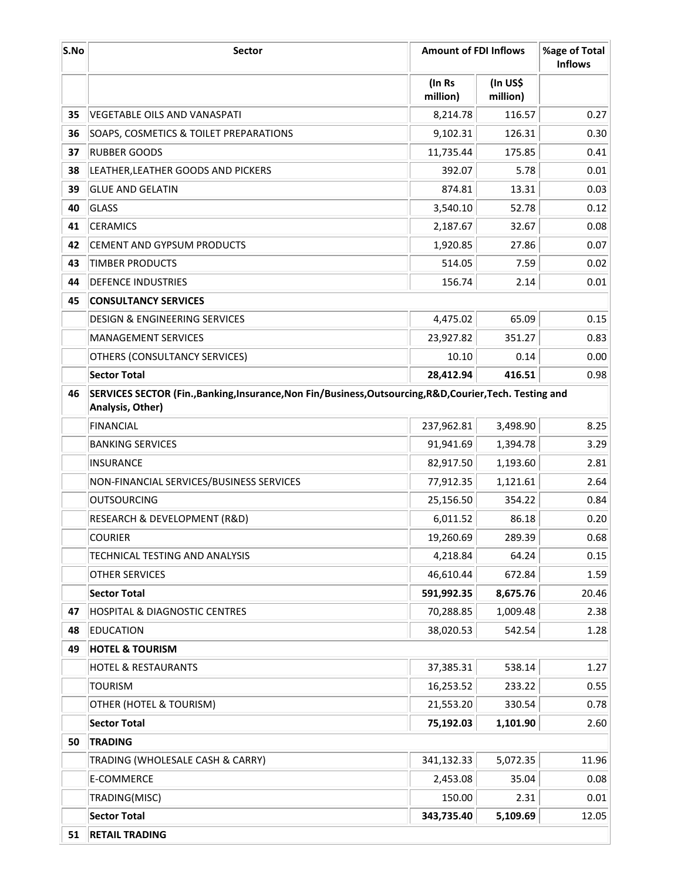| S.No | <b>Sector</b>                                                                                                                 | <b>Amount of FDI Inflows</b> |                      | %age of Total<br><b>Inflows</b> |
|------|-------------------------------------------------------------------------------------------------------------------------------|------------------------------|----------------------|---------------------------------|
|      |                                                                                                                               | (In Rs<br>million)           | (In US\$<br>million) |                                 |
| 35   | VEGETABLE OILS AND VANASPATI                                                                                                  | 8,214.78                     | 116.57               | 0.27                            |
| 36   | SOAPS, COSMETICS & TOILET PREPARATIONS                                                                                        | 9,102.31                     | 126.31               | 0.30                            |
| 37   | <b>RUBBER GOODS</b>                                                                                                           | 11,735.44                    | 175.85               | 0.41                            |
| 38   | LEATHER, LEATHER GOODS AND PICKERS                                                                                            | 392.07                       | 5.78                 | 0.01                            |
| 39   | <b>GLUE AND GELATIN</b>                                                                                                       | 874.81                       | 13.31                | 0.03                            |
| 40   | GLASS                                                                                                                         | 3,540.10                     | 52.78                | 0.12                            |
| 41   | <b>CERAMICS</b>                                                                                                               | 2,187.67                     | 32.67                | 0.08                            |
| 42   | CEMENT AND GYPSUM PRODUCTS                                                                                                    | 1,920.85                     | 27.86                | 0.07                            |
| 43   | <b>TIMBER PRODUCTS</b>                                                                                                        | 514.05                       | 7.59                 | 0.02                            |
| 44   | <b>DEFENCE INDUSTRIES</b>                                                                                                     | 156.74                       | 2.14                 | 0.01                            |
| 45   | <b>CONSULTANCY SERVICES</b>                                                                                                   |                              |                      |                                 |
|      | <b>DESIGN &amp; ENGINEERING SERVICES</b>                                                                                      | 4,475.02                     | 65.09                | 0.15                            |
|      | <b>MANAGEMENT SERVICES</b>                                                                                                    | 23,927.82                    | 351.27               | 0.83                            |
|      | OTHERS (CONSULTANCY SERVICES)                                                                                                 | 10.10                        | 0.14                 | 0.00                            |
|      | <b>Sector Total</b>                                                                                                           | 28,412.94                    | 416.51               | 0.98                            |
| 46   | SERVICES SECTOR (Fin., Banking, Insurance, Non Fin/Business, Outsourcing, R&D, Courier, Tech. Testing and<br>Analysis, Other) |                              |                      |                                 |
|      | <b>FINANCIAL</b>                                                                                                              | 237,962.81                   | 3,498.90             | 8.25                            |
|      | <b>BANKING SERVICES</b>                                                                                                       | 91,941.69                    | 1,394.78             | 3.29                            |
|      | <b>INSURANCE</b>                                                                                                              | 82,917.50                    | 1,193.60             | 2.81                            |
|      | NON-FINANCIAL SERVICES/BUSINESS SERVICES                                                                                      | 77,912.35                    | 1,121.61             | 2.64                            |
|      | <b>OUTSOURCING</b>                                                                                                            | 25,156.50                    | 354.22               | 0.84                            |
|      | RESEARCH & DEVELOPMENT (R&D)                                                                                                  | 6,011.52                     | 86.18                | 0.20                            |
|      | <b>COURIER</b>                                                                                                                | 19,260.69                    | 289.39               | 0.68                            |
|      | TECHNICAL TESTING AND ANALYSIS                                                                                                | 4,218.84                     | 64.24                | 0.15                            |
|      | OTHER SERVICES                                                                                                                | 46,610.44                    | 672.84               | 1.59                            |
|      | <b>Sector Total</b>                                                                                                           | 591,992.35                   | 8,675.76             | 20.46                           |
| 47   | <b>HOSPITAL &amp; DIAGNOSTIC CENTRES</b>                                                                                      | 70,288.85                    | 1,009.48             | 2.38                            |
| 48   | EDUCATION                                                                                                                     | 38,020.53                    | 542.54               | 1.28                            |
| 49   | <b>HOTEL &amp; TOURISM</b>                                                                                                    |                              |                      |                                 |
|      | <b>HOTEL &amp; RESTAURANTS</b>                                                                                                | 37,385.31                    | 538.14               | 1.27                            |
|      | <b>TOURISM</b>                                                                                                                | 16,253.52                    | 233.22               | 0.55                            |
|      | OTHER (HOTEL & TOURISM)                                                                                                       | 21,553.20                    | 330.54               | 0.78                            |
|      | <b>Sector Total</b>                                                                                                           | 75,192.03                    | 1,101.90             | 2.60                            |
| 50   | <b>TRADING</b>                                                                                                                |                              |                      |                                 |
|      | TRADING (WHOLESALE CASH & CARRY)                                                                                              | 341,132.33                   | 5,072.35             | 11.96                           |
|      | E-COMMERCE                                                                                                                    | 2,453.08                     | 35.04                | 0.08                            |
|      | TRADING(MISC)                                                                                                                 | 150.00                       | 2.31                 | 0.01                            |
|      | <b>Sector Total</b>                                                                                                           | 343,735.40                   | 5,109.69             | 12.05                           |
| 51   | <b>RETAIL TRADING</b>                                                                                                         |                              |                      |                                 |